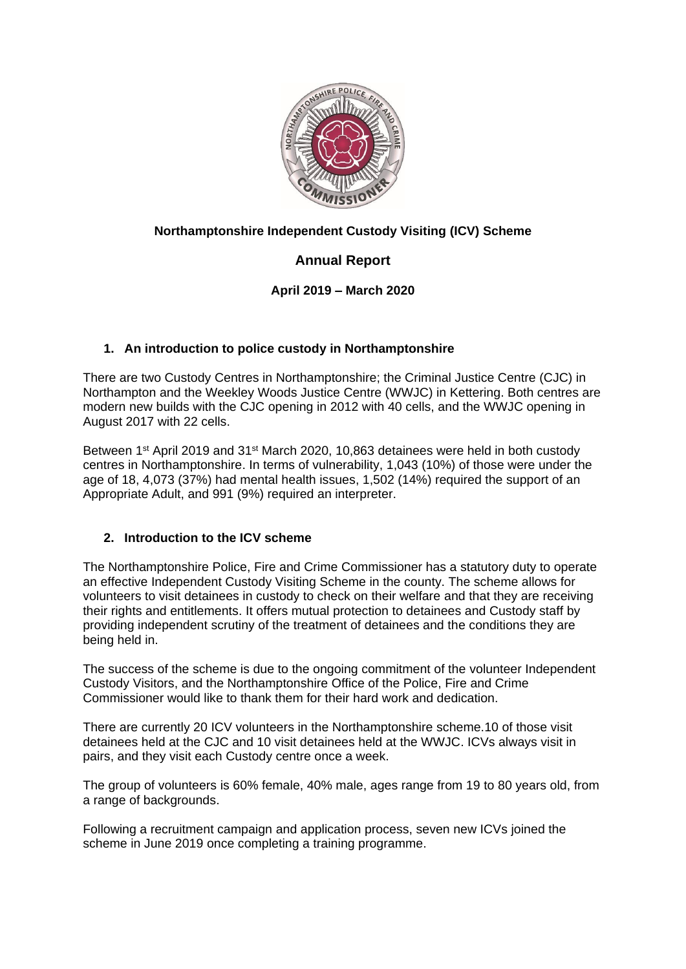

# **Northamptonshire Independent Custody Visiting (ICV) Scheme**

# **Annual Report**

# **April 2019 – March 2020**

## **1. An introduction to police custody in Northamptonshire**

There are two Custody Centres in Northamptonshire; the Criminal Justice Centre (CJC) in Northampton and the Weekley Woods Justice Centre (WWJC) in Kettering. Both centres are modern new builds with the CJC opening in 2012 with 40 cells, and the WWJC opening in August 2017 with 22 cells.

Between 1<sup>st</sup> April 2019 and 31<sup>st</sup> March 2020, 10,863 detainees were held in both custody centres in Northamptonshire. In terms of vulnerability, 1,043 (10%) of those were under the age of 18, 4,073 (37%) had mental health issues, 1,502 (14%) required the support of an Appropriate Adult, and 991 (9%) required an interpreter.

## **2. Introduction to the ICV scheme**

The Northamptonshire Police, Fire and Crime Commissioner has a statutory duty to operate an effective Independent Custody Visiting Scheme in the county. The scheme allows for volunteers to visit detainees in custody to check on their welfare and that they are receiving their rights and entitlements. It offers mutual protection to detainees and Custody staff by providing independent scrutiny of the treatment of detainees and the conditions they are being held in.

The success of the scheme is due to the ongoing commitment of the volunteer Independent Custody Visitors, and the Northamptonshire Office of the Police, Fire and Crime Commissioner would like to thank them for their hard work and dedication.

There are currently 20 ICV volunteers in the Northamptonshire scheme.10 of those visit detainees held at the CJC and 10 visit detainees held at the WWJC. ICVs always visit in pairs, and they visit each Custody centre once a week.

The group of volunteers is 60% female, 40% male, ages range from 19 to 80 years old, from a range of backgrounds.

Following a recruitment campaign and application process, seven new ICVs joined the scheme in June 2019 once completing a training programme.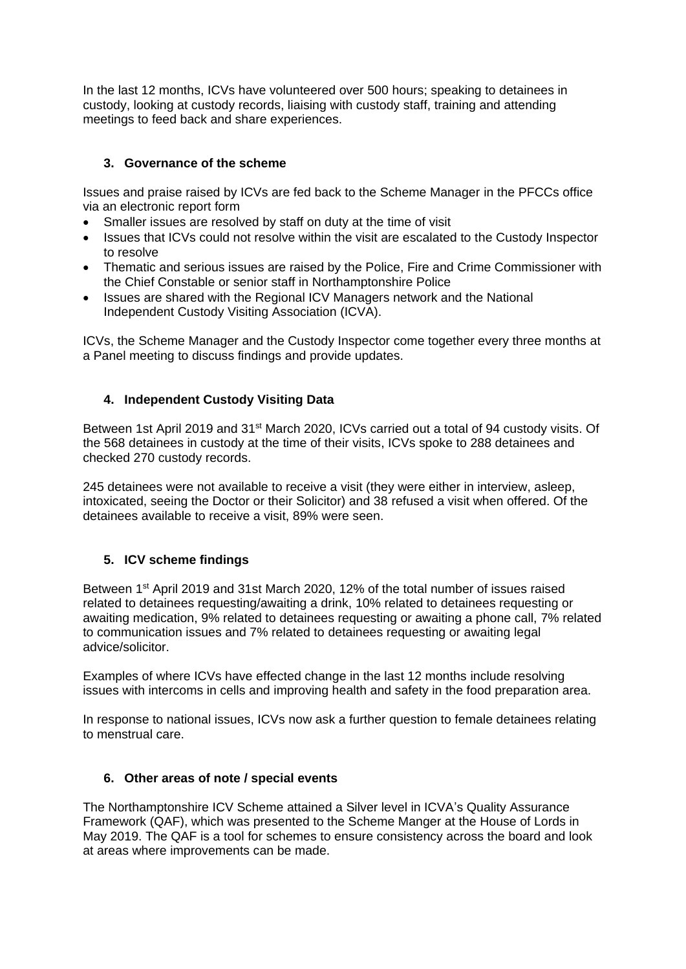In the last 12 months, ICVs have volunteered over 500 hours; speaking to detainees in custody, looking at custody records, liaising with custody staff, training and attending meetings to feed back and share experiences.

## **3. Governance of the scheme**

Issues and praise raised by ICVs are fed back to the Scheme Manager in the PFCCs office via an electronic report form

- Smaller issues are resolved by staff on duty at the time of visit
- Issues that ICVs could not resolve within the visit are escalated to the Custody Inspector to resolve
- Thematic and serious issues are raised by the Police, Fire and Crime Commissioner with the Chief Constable or senior staff in Northamptonshire Police
- Issues are shared with the Regional ICV Managers network and the National Independent Custody Visiting Association (ICVA).

ICVs, the Scheme Manager and the Custody Inspector come together every three months at a Panel meeting to discuss findings and provide updates.

### **4. Independent Custody Visiting Data**

Between 1st April 2019 and 31st March 2020, ICVs carried out a total of 94 custody visits. Of the 568 detainees in custody at the time of their visits, ICVs spoke to 288 detainees and checked 270 custody records.

245 detainees were not available to receive a visit (they were either in interview, asleep, intoxicated, seeing the Doctor or their Solicitor) and 38 refused a visit when offered. Of the detainees available to receive a visit, 89% were seen.

### **5. ICV scheme findings**

Between 1<sup>st</sup> April 2019 and 31st March 2020, 12% of the total number of issues raised related to detainees requesting/awaiting a drink, 10% related to detainees requesting or awaiting medication, 9% related to detainees requesting or awaiting a phone call, 7% related to communication issues and 7% related to detainees requesting or awaiting legal advice/solicitor.

Examples of where ICVs have effected change in the last 12 months include resolving issues with intercoms in cells and improving health and safety in the food preparation area.

In response to national issues, ICVs now ask a further question to female detainees relating to menstrual care.

### **6. Other areas of note / special events**

The Northamptonshire ICV Scheme attained a Silver level in ICVA's Quality Assurance Framework (QAF), which was presented to the Scheme Manger at the House of Lords in May 2019. The QAF is a tool for schemes to ensure consistency across the board and look at areas where improvements can be made.